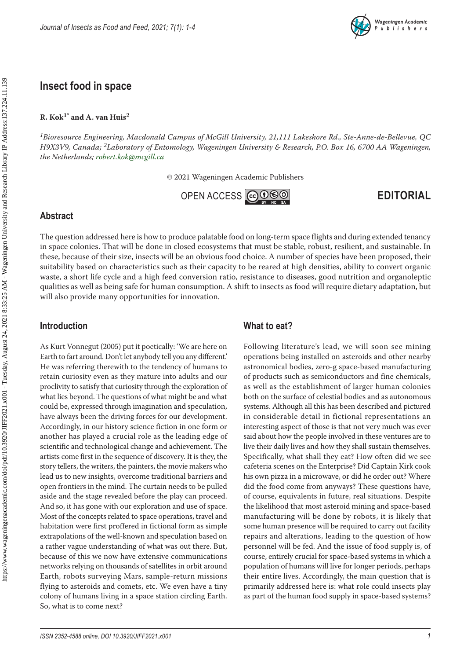

# **Insect food in space**

#### **R. Kok1\* and A. van Huis2**

*1Bioresource Engineering, Macdonald Campus of McGill University, 21,111 Lakeshore Rd., Ste-Anne-de-Bellevue, QC H9X3V9, Canada; 2Laboratory of Entomology, Wageningen University & Research, P.O. Box 16, 6700 AA Wageningen, the Netherlands; [robert.kok@mcgill.ca](mailto:robert.kok@mcgill.ca)*

© 2021 Wageningen Academic Publishers

OPENACCESS COOSO

**EDITORIAL**

#### **Abstract**

The question addressed here is how to produce palatable food on long-term space flights and during extended tenancy in space colonies. That will be done in closed ecosystems that must be stable, robust, resilient, and sustainable. In these, because of their size, insects will be an obvious food choice. A number of species have been proposed, their suitability based on characteristics such as their capacity to be reared at high densities, ability to convert organic waste, a short life cycle and a high feed conversion ratio, resistance to diseases, good nutrition and organoleptic qualities as well as being safe for human consumption. A shift to insects as food will require dietary adaptation, but will also provide many opportunities for innovation.

#### **Introduction**

As Kurt Vonnegut (2005) put it poetically: 'We are here on Earth to fart around. Don't let anybody tell you any different.' He was referring therewith to the tendency of humans to retain curiosity even as they mature into adults and our proclivity to satisfy that curiosity through the exploration of what lies beyond. The questions of what might be and what could be, expressed through imagination and speculation, have always been the driving forces for our development. Accordingly, in our history science fiction in one form or another has played a crucial role as the leading edge of scientific and technological change and achievement. The artists come first in the sequence of discovery. It is they, the story tellers, the writers, the painters, the movie makers who lead us to new insights, overcome traditional barriers and open frontiers in the mind. The curtain needs to be pulled aside and the stage revealed before the play can proceed. And so, it has gone with our exploration and use of space. Most of the concepts related to space operations, travel and habitation were first proffered in fictional form as simple extrapolations of the well-known and speculation based on a rather vague understanding of what was out there. But, because of this we now have extensive communications networks relying on thousands of satellites in orbit around Earth, robots surveying Mars, sample-return missions flying to asteroids and comets, etc. We even have a tiny colony of humans living in a space station circling Earth. So, what is to come next?

### **What to eat?**

Following literature's lead, we will soon see mining operations being installed on asteroids and other nearby astronomical bodies, zero-g space-based manufacturing of products such as semiconductors and fine chemicals, as well as the establishment of larger human colonies both on the surface of celestial bodies and as autonomous systems. Although all this has been described and pictured in considerable detail in fictional representations an interesting aspect of those is that not very much was ever said about how the people involved in these ventures are to live their daily lives and how they shall sustain themselves. Specifically, what shall they eat? How often did we see cafeteria scenes on the Enterprise? Did Captain Kirk cook his own pizza in a microwave, or did he order out? Where did the food come from anyways? These questions have, of course, equivalents in future, real situations. Despite the likelihood that most asteroid mining and space-based manufacturing will be done by robots, it is likely that some human presence will be required to carry out facility repairs and alterations, leading to the question of how personnel will be fed. And the issue of food supply is, of course, entirely crucial for space-based systems in which a population of humans will live for longer periods, perhaps their entire lives. Accordingly, the main question that is primarily addressed here is: what role could insects play as part of the human food supply in space-based systems?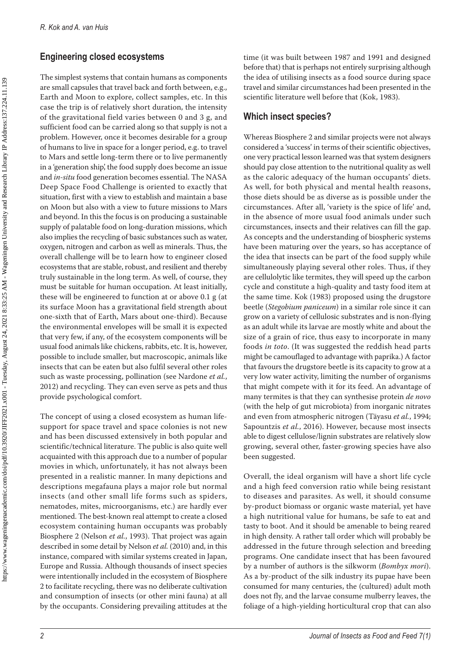### **Engineering closed ecosystems**

The simplest systems that contain humans as components are small capsules that travel back and forth between, e.g., Earth and Moon to explore, collect samples, etc. In this case the trip is of relatively short duration, the intensity of the gravitational field varies between 0 and 3 g, and sufficient food can be carried along so that supply is not a problem. However, once it becomes desirable for a group of humans to live in space for a longer period, e.g. to travel to Mars and settle long-term there or to live permanently in a 'generation ship', the food supply does become an issue and *in-situ* food generation becomes essential. The NASA Deep Space Food Challenge is oriented to exactly that situation, first with a view to establish and maintain a base on Moon but also with a view to future missions to Mars and beyond. In this the focus is on producing a sustainable supply of palatable food on long-duration missions, which also implies the recycling of basic substances such as water, oxygen, nitrogen and carbon as well as minerals. Thus, the overall challenge will be to learn how to engineer closed ecosystems that are stable, robust, and resilient and thereby truly sustainable in the long term. As well, of course, they must be suitable for human occupation. At least initially, these will be engineered to function at or above 0.1 g (at its surface Moon has a gravitational field strength about one-sixth that of Earth, Mars about one-third). Because the environmental envelopes will be small it is expected that very few, if any, of the ecosystem components will be usual food animals like chickens, rabbits, etc. It is, however, possible to include smaller, but macroscopic, animals like insects that can be eaten but also fulfil several other roles such as waste processing, pollination (see Nardone *et al.*, 2012) and recycling. They can even serve as pets and thus provide psychological comfort.

The concept of using a closed ecosystem as human lifesupport for space travel and space colonies is not new and has been discussed extensively in both popular and scientific/technical literature. The public is also quite well acquainted with this approach due to a number of popular movies in which, unfortunately, it has not always been presented in a realistic manner. In many depictions and descriptions megafauna plays a major role but normal insects (and other small life forms such as spiders, nematodes, mites, microorganisms, etc.) are hardly ever mentioned. The best-known real attempt to create a closed ecosystem containing human occupants was probably Biosphere 2 (Nelson *et al.*, 1993). That project was again described in some detail by Nelson *et al.* (2010) and, in this instance, compared with similar systems created in Japan, Europe and Russia. Although thousands of insect species were intentionally included in the ecosystem of Biosphere 2 to facilitate recycling, there was no deliberate cultivation and consumption of insects (or other mini fauna) at all by the occupants. Considering prevailing attitudes at the

time (it was built between 1987 and 1991 and designed before that) that is perhaps not entirely surprising although the idea of utilising insects as a food source during space travel and similar circumstances had been presented in the scientific literature well before that (Kok, 1983).

## **Which insect species?**

Whereas Biosphere 2 and similar projects were not always considered a 'success' in terms of their scientific objectives, one very practical lesson learned was that system designers should pay close attention to the nutritional quality as well as the caloric adequacy of the human occupants' diets. As well, for both physical and mental health reasons, those diets should be as diverse as is possible under the circumstances. After all, 'variety is the spice of life' and, in the absence of more usual food animals under such circumstances, insects and their relatives can fill the gap. As concepts and the understanding of biospheric systems have been maturing over the years, so has acceptance of the idea that insects can be part of the food supply while simultaneously playing several other roles. Thus, if they are cellulolytic like termites, they will speed up the carbon cycle and constitute a high-quality and tasty food item at the same time. Kok (1983) proposed using the drugstore beetle (*Stegobium paniceum*) in a similar role since it can grow on a variety of cellulosic substrates and is non-flying as an adult while its larvae are mostly white and about the size of a grain of rice, thus easy to incorporate in many foods *in toto*. (It was suggested the reddish head parts might be camouflaged to advantage with paprika.) A factor that favours the drugstore beetle is its capacity to grow at a very low water activity, limiting the number of organisms that might compete with it for its feed. An advantage of many termites is that they can synthesise protein *de novo* (with the help of gut microbiota) from inorganic nitrates and even from atmospheric nitrogen (Täyasu *et al.*, 1994; Sapountzis *et al.*, 2016). However, because most insects able to digest cellulose/lignin substrates are relatively slow growing, several other, faster-growing species have also been suggested.

Overall, the ideal organism will have a short life cycle and a high feed conversion ratio while being resistant to diseases and parasites. As well, it should consume by-product biomass or organic waste material, yet have a high nutritional value for humans, be safe to eat and tasty to boot. And it should be amenable to being reared in high density. A rather tall order which will probably be addressed in the future through selection and breeding programs. One candidate insect that has been favoured by a number of authors is the silkworm (*Bombyx mori*). As a by-product of the silk industry its pupae have been consumed for many centuries, the (cultured) adult moth does not fly, and the larvae consume mulberry leaves, the foliage of a high-yielding horticultural crop that can also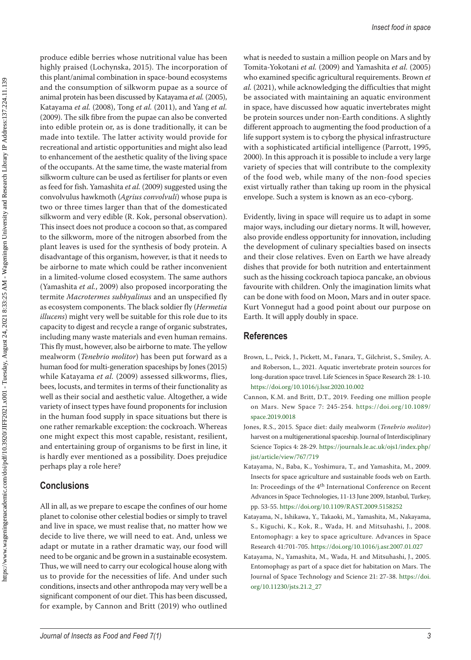produce edible berries whose nutritional value has been highly praised (Lochynska, 2015). The incorporation of this plant/animal combination in space-bound ecosystems and the consumption of silkworm pupae as a source of animal protein has been discussed by Katayama *et al.* (2005), Katayama *et al.* (2008), Tong *et al.* (2011), and Yang *et al.* (2009). The silk fibre from the pupae can also be converted into edible protein or, as is done traditionally, it can be made into textile. The latter activity would provide for recreational and artistic opportunities and might also lead to enhancement of the aesthetic quality of the living space of the occupants. At the same time, the waste material from silkworm culture can be used as fertiliser for plants or even as feed for fish. Yamashita *et al.* (2009) suggested using the convolvulus hawkmoth (*Agrius convolvuli*) whose pupa is two or three times larger than that of the domesticated silkworm and very edible (R. Kok, personal observation). This insect does not produce a cocoon so that, as compared to the silkworm, more of the nitrogen absorbed from the plant leaves is used for the synthesis of body protein. A disadvantage of this organism, however, is that it needs to be airborne to mate which could be rather inconvenient in a limited-volume closed ecosystem. The same authors (Yamashita *et al.*, 2009) also proposed incorporating the termite *Macrotermes subhyalinus* and an unspecified fly as ecosystem components. The black soldier fly (*Hermetia illucens*) might very well be suitable for this role due to its capacity to digest and recycle a range of organic substrates, including many waste materials and even human remains. This fly must, however, also be airborne to mate. The yellow mealworm (*Tenebrio molitor*) has been put forward as a human food for multi-generation spaceships by Jones (2015) while Katayama *et al.* (2009) assessed silkworms, flies, bees, locusts, and termites in terms of their functionality as well as their social and aesthetic value. Altogether, a wide variety of insect types have found proponents for inclusion in the human food supply in space situations but there is one rather remarkable exception: the cockroach. Whereas one might expect this most capable, resistant, resilient, and entertaining group of organisms to be first in line, it is hardly ever mentioned as a possibility. Does prejudice perhaps play a role here?

#### **Conclusions**

All in all, as we prepare to escape the confines of our home planet to colonise other celestial bodies or simply to travel and live in space, we must realise that, no matter how we decide to live there, we will need to eat. And, unless we adapt or mutate in a rather dramatic way, our food will need to be organic and be grown in a sustainable ecosystem. Thus, we will need to carry our ecological house along with us to provide for the necessities of life. And under such conditions, insects and other anthropoda may very well be a significant component of our diet. This has been discussed, for example, by Cannon and Britt (2019) who outlined

what is needed to sustain a million people on Mars and by Tomita-Yokotani *et al.* (2009) and Yamashita *et al.* (2005) who examined specific agricultural requirements. Brown *et al.* (2021), while acknowledging the difficulties that might be associated with maintaining an aquatic environment in space, have discussed how aquatic invertebrates might be protein sources under non-Earth conditions. A slightly different approach to augmenting the food production of a life support system is to cyborg the physical infrastructure with a sophisticated artificial intelligence (Parrott, 1995, 2000). In this approach it is possible to include a very large variety of species that will contribute to the complexity of the food web, while many of the non-food species exist virtually rather than taking up room in the physical envelope. Such a system is known as an eco-cyborg.

Evidently, living in space will require us to adapt in some major ways, including our dietary norms. It will, however, also provide endless opportunity for innovation, including the development of culinary specialties based on insects and their close relatives. Even on Earth we have already dishes that provide for both nutrition and entertainment such as the hissing cockroach tapioca pancake, an obvious favourite with children. Only the imagination limits what can be done with food on Moon, Mars and in outer space. Kurt Vonnegut had a good point about our purpose on Earth. It will apply doubly in space.

#### **References**

- Brown, L., Peick, J., Pickett, M., Fanara, T., Gilchrist, S., Smiley, A. and Roberson, L., 2021. Aquatic invertebrate protein sources for long-duration space travel. Life Sciences in Space Research 28: 1-10. <https://doi.org/10.1016/j.lssr.2020.10.002>
- Cannon, K.M. and Britt, D.T., 2019. Feeding one million people on Mars. New Space 7: 245-254. [https://doi.org/10.1089/](https://doi.org/10.1089/space.2019.0018) [space.2019.0018](https://doi.org/10.1089/space.2019.0018)
- Jones, R.S., 2015. Space diet: daily mealworm (*Tenebrio molitor*) harvest on a multigenerational spaceship. Journal of Interdisciplinary Science Topics 4: 28-29. [https://journals.le.ac.uk/ojs1/index.php/](https://journals.le.ac.uk/ojs1/index.php/jist/article/view/767/719) [jist/article/view/767/719](https://journals.le.ac.uk/ojs1/index.php/jist/article/view/767/719)
- Katayama, N., Baba, K., Yoshimura, T., and Yamashita, M., 2009. Insects for space agriculture and sustainable foods web on Earth. In: Proceedings of the 4<sup>th</sup> International Conference on Recent Advances in Space Technologies, 11-13 June 2009, Istanbul, Turkey, pp. 53-55. <https://doi.org/10.1109/RAST.2009.5158252>
- Katayama, N., Ishikawa, Y., Takaoki, M., Yamashita, M., Nakayama, S., Kiguchi, K., Kok, R., Wada, H. and Mitsuhashi, J., 2008. Entomophagy: a key to space agriculture. Advances in Space Research 41:701-705. <https://doi.org/10.1016/j.asr.2007.01.027>
- Katayama, N., Yamashita, M., Wada, H. and Mitsuhashi, J., 2005. Entomophagy as part of a space diet for habitation on Mars. The Journal of Space Technology and Science 21: 27-38. [https://doi.](https://doi.org/10.11230/jsts.21.2_27) [org/10.11230/jsts.21.2\\_27](https://doi.org/10.11230/jsts.21.2_27)